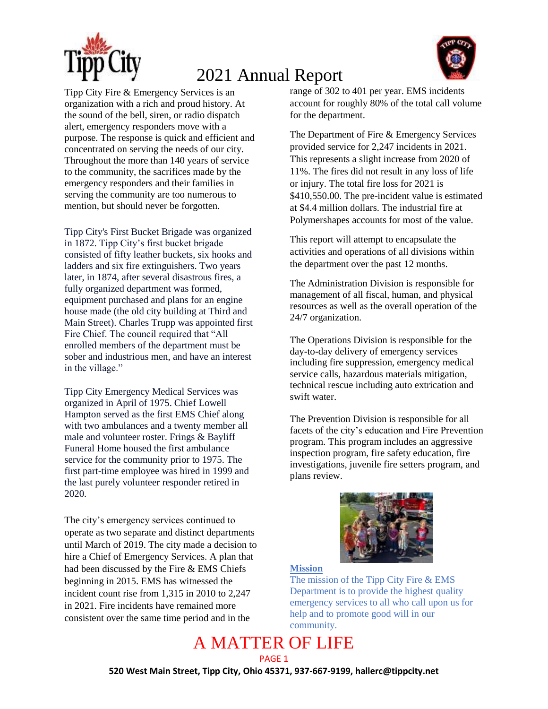



Tipp City Fire & Emergency Services is an organization with a rich and proud history. At the sound of the bell, siren, or radio dispatch alert, emergency responders move with a purpose. The response is quick and efficient and concentrated on serving the needs of our city. Throughout the more than 140 years of service to the community, the sacrifices made by the emergency responders and their families in serving the community are too numerous to mention, but should never be forgotten.

Tipp City's First Bucket Brigade was organized in 1872. Tipp City's first bucket brigade consisted of fifty leather buckets, six hooks and ladders and six fire extinguishers. Two years later, in 1874, after several disastrous fires, a fully organized department was formed, equipment purchased and plans for an engine house made (the old city building at Third and Main Street). Charles Trupp was appointed first Fire Chief. The council required that "All enrolled members of the department must be sober and industrious men, and have an interest in the village."

Tipp City Emergency Medical Services was organized in April of 1975. Chief Lowell Hampton served as the first EMS Chief along with two ambulances and a twenty member all male and volunteer roster. Frings & Bayliff Funeral Home housed the first ambulance service for the community prior to 1975. The first part-time employee was hired in 1999 and the last purely volunteer responder retired in 2020.

The city's emergency services continued to operate as two separate and distinct departments until March of 2019. The city made a decision to hire a Chief of Emergency Services. A plan that had been discussed by the Fire & EMS Chiefs beginning in 2015. EMS has witnessed the incident count rise from 1,315 in 2010 to 2,247 in 2021. Fire incidents have remained more consistent over the same time period and in the

range of 302 to 401 per year. EMS incidents account for roughly 80% of the total call volume for the department.

The Department of Fire & Emergency Services provided service for 2,247 incidents in 2021. This represents a slight increase from 2020 of 11%. The fires did not result in any loss of life or injury. The total fire loss for 2021 is \$410,550.00. The pre-incident value is estimated at \$4.4 million dollars. The industrial fire at Polymershapes accounts for most of the value.

This report will attempt to encapsulate the activities and operations of all divisions within the department over the past 12 months.

The Administration Division is responsible for management of all fiscal, human, and physical resources as well as the overall operation of the 24/7 organization.

The Operations Division is responsible for the day-to-day delivery of emergency services including fire suppression, emergency medical service calls, hazardous materials mitigation, technical rescue including auto extrication and swift water.

The Prevention Division is responsible for all facets of the city's education and Fire Prevention program. This program includes an aggressive inspection program, fire safety education, fire investigations, juvenile fire setters program, and plans review.



#### **Mission**

The mission of the Tipp City Fire & EMS Department is to provide the highest quality emergency services to all who call upon us for help and to promote good will in our community.

#### A MATTER OF LIFE PAGE 1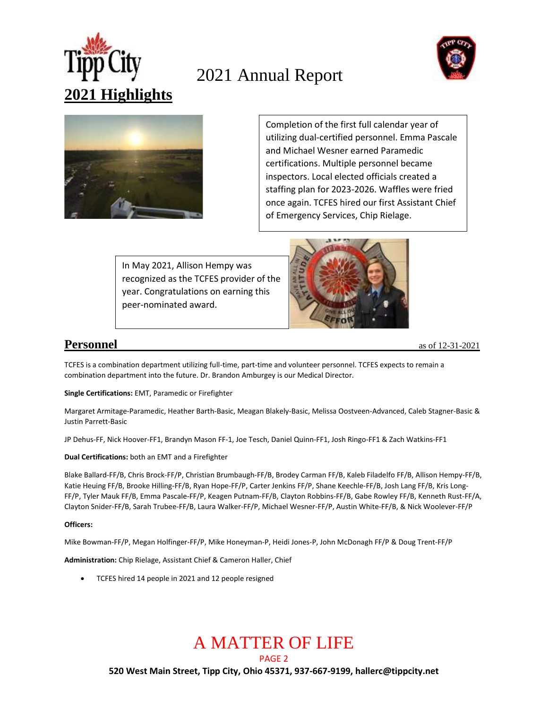





Completion of the first full calendar year of utilizing dual-certified personnel. Emma Pascale and Michael Wesner earned Paramedic certifications. Multiple personnel became inspectors. Local elected officials created a staffing plan for 2023-2026. Waffles were fried once again. TCFES hired our first Assistant Chief of Emergency Services, Chip Rielage.

In May 2021, Allison Hempy was recognized as the TCFES provider of the year. Congratulations on earning this peer-nominated award.

 $\overline{a}$ 



**Personnel** as of 12-31-2021

TCFES is a combination department utilizing full-time, part-time and volunteer personnel. TCFES expects to remain a combination department into the future. Dr. Brandon Amburgey is our Medical Director.

**Single Certifications:** EMT, Paramedic or Firefighter

Margaret Armitage-Paramedic, Heather Barth-Basic, Meagan Blakely-Basic, Melissa Oostveen-Advanced, Caleb Stagner-Basic & Justin Parrett-Basic

JP Dehus-FF, Nick Hoover-FF1, Brandyn Mason FF-1, Joe Tesch, Daniel Quinn-FF1, Josh Ringo-FF1 & Zach Watkins-FF1

**Dual Certifications:** both an EMT and a Firefighter

Blake Ballard-FF/B, Chris Brock-FF/P, Christian Brumbaugh-FF/B, Brodey Carman FF/B, Kaleb Filadelfo FF/B, Allison Hempy-FF/B, Katie Heuing FF/B, Brooke Hilling-FF/B, Ryan Hope-FF/P, Carter Jenkins FF/P, Shane Keechle-FF/B, Josh Lang FF/B, Kris Long-FF/P, Tyler Mauk FF/B, Emma Pascale-FF/P, Keagen Putnam-FF/B, Clayton Robbins-FF/B, Gabe Rowley FF/B, Kenneth Rust-FF/A, Clayton Snider-FF/B, Sarah Trubee-FF/B, Laura Walker-FF/P, Michael Wesner-FF/P, Austin White-FF/B, & Nick Woolever-FF/P

#### **Officers:**

Mike Bowman-FF/P, Megan Holfinger-FF/P, Mike Honeyman-P, Heidi Jones-P, John McDonagh FF/P & Doug Trent-FF/P

**Administration:** Chip Rielage, Assistant Chief & Cameron Haller, Chief

TCFES hired 14 people in 2021 and 12 people resigned

# A MATTER OF LIFE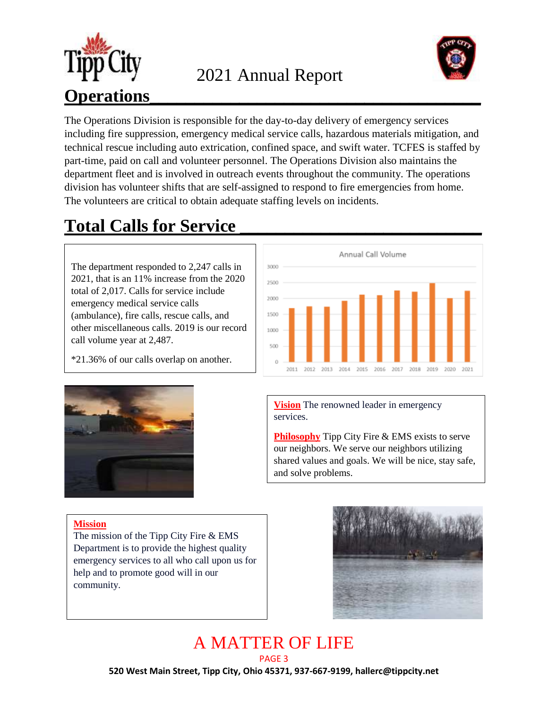



The Operations Division is responsible for the day-to-day delivery of emergency services including fire suppression, emergency medical service calls, hazardous materials mitigation, and technical rescue including auto extrication, confined space, and swift water. TCFES is staffed by part-time, paid on call and volunteer personnel. The Operations Division also maintains the department fleet and is involved in outreach events throughout the community. The operations division has volunteer shifts that are self-assigned to respond to fire emergencies from home. The volunteers are critical to obtain adequate staffing levels on incidents.

# **Total Calls for Service \_\_\_\_\_\_\_\_\_\_\_\_\_\_\_\_\_\_\_\_\_\_\_\_\_\_\_**

The department responded to 2,247 calls in 2021, that is an 11% increase from the 2020 total of 2,017. Calls for service include emergency medical service calls (ambulance), fire calls, rescue calls, and other miscellaneous calls. 2019 is our record call volume year at 2,487.

\*21.36% of our calls overlap on another.





**Vision** The renowned leader in emergency services.

**Philosophy** Tipp City Fire & EMS exists to serve our neighbors. We serve our neighbors utilizing shared values and goals. We will be nice, stay safe, and solve problems.

**Mission**

The mission of the Tipp City Fire & EMS Department is to provide the highest quality emergency services to all who call upon us for help and to promote good will in our community.



#### A MATTER OF LIFE PAGE 3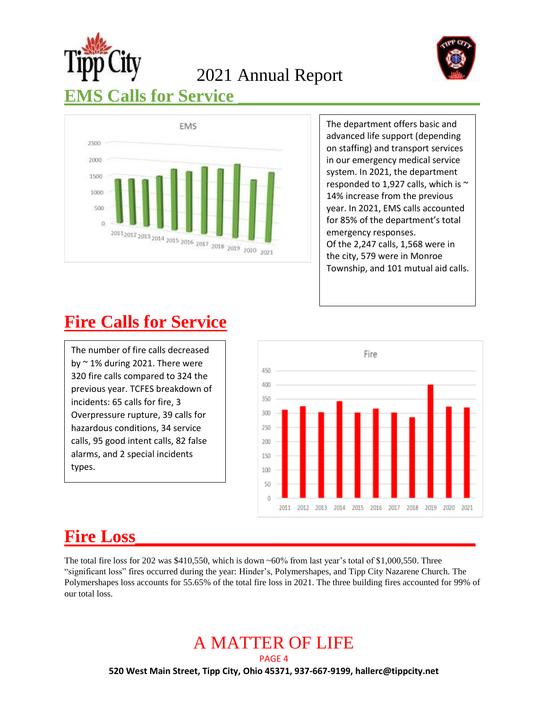

2021 Annual Report



### **EMS** Calls for Service



The department offers basic and advanced life support (depending on staffing) and transport services in our emergency medical service system. In 2021, the department responded to 1,927 calls, which is  $\sim$ 14% increase from the previous year. In 2021, EMS calls accounted for 85% of the department's total emergency responses. Of the 2,247 calls, 1,568 were in the city, 579 were in Monroe Township, and 101 mutual aid calls.

#### **Fire Calls for Service**

The number of fire calls decreased by  $\sim$  1% during 2021. There were 320 fire calls compared to 324 the previous year. TCFES breakdown of incidents: 65 calls for fire, 3 Overpressure rupture, 39 calls for hazardous conditions, 34 service calls, 95 good intent calls, 82 false alarms, and 2 special incidents types.



#### **Fire Loss\_\_\_\_\_\_\_\_\_\_\_\_\_\_\_\_\_\_\_\_\_\_\_\_\_\_\_\_\_\_\_\_\_\_\_\_\_\_**

The total fire loss for 202 was \$410,550, which is down  $\sim 60\%$  from last year's total of \$1,000,550. Three "significant loss" fires occurred during the year: Hinder's, Polymershapes, and Tipp City Nazarene Church. The Polymershapes loss accounts for 55.65% of the total fire loss in 2021. The three building fires accounted for 99% of our total loss.

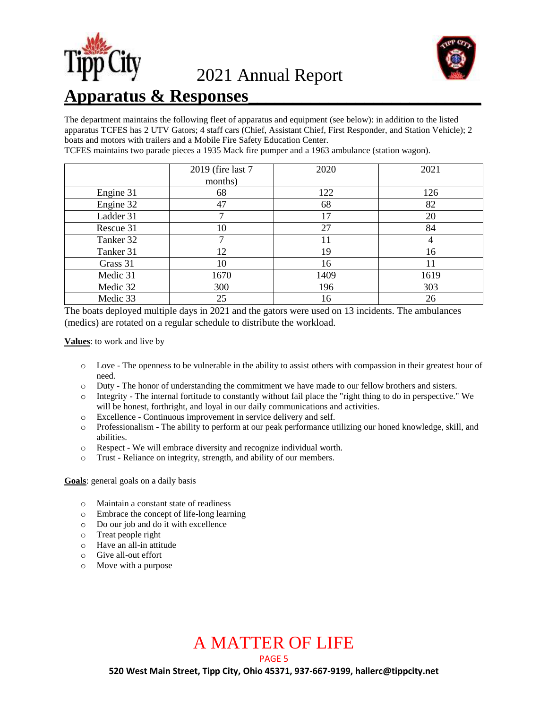



#### **Apparatus & Responses\_\_\_\_\_\_\_\_\_\_\_\_\_\_\_\_\_\_\_\_\_\_\_\_\_\_**

The department maintains the following fleet of apparatus and equipment (see below): in addition to the listed apparatus TCFES has 2 UTV Gators; 4 staff cars (Chief, Assistant Chief, First Responder, and Station Vehicle); 2 boats and motors with trailers and a Mobile Fire Safety Education Center.

TCFES maintains two parade pieces a 1935 Mack fire pumper and a 1963 ambulance (station wagon).

|           | 2019 (fire last 7) | 2020 | 2021 |
|-----------|--------------------|------|------|
|           | months)            |      |      |
| Engine 31 | 68                 | 122  | 126  |
| Engine 32 | 47                 | 68   | 82   |
| Ladder 31 |                    | 17   | 20   |
| Rescue 31 | 10                 | 27   | 84   |
| Tanker 32 |                    | 11   |      |
| Tanker 31 | 12                 | 19   | 16   |
| Grass 31  | 10                 | 16   | 11   |
| Medic 31  | 1670               | 1409 | 1619 |
| Medic 32  | 300                | 196  | 303  |
| Medic 33  | 25                 | 16   | 26   |

The boats deployed multiple days in 2021 and the gators were used on 13 incidents. The ambulances (medics) are rotated on a regular schedule to distribute the workload.

**Values**: to work and live by

- o Love The openness to be vulnerable in the ability to assist others with compassion in their greatest hour of need.
- o Duty The honor of understanding the commitment we have made to our fellow brothers and sisters.
- o Integrity The internal fortitude to constantly without fail place the "right thing to do in perspective." We will be honest, forthright, and loyal in our daily communications and activities.
- o Excellence Continuous improvement in service delivery and self.
- o Professionalism The ability to perform at our peak performance utilizing our honed knowledge, skill, and abilities.
- o Respect We will embrace diversity and recognize individual worth.
- o Trust Reliance on integrity, strength, and ability of our members.

**Goals**: general goals on a daily basis

- o Maintain a constant state of readiness
- o Embrace the concept of life-long learning
- o Do our job and do it with excellence
- o Treat people right
- o Have an all-in attitude
- o Give all-out effort
- o Move with a purpose

# A MATTER OF LIFE

PAGE 5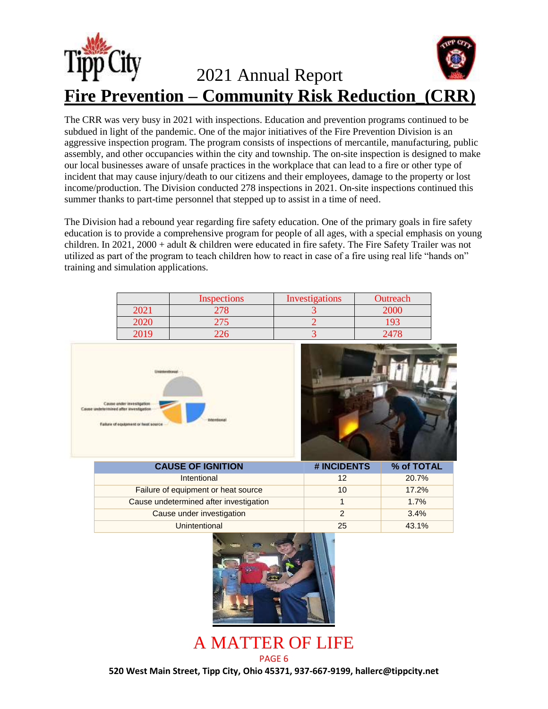

The CRR was very busy in 2021 with inspections. Education and prevention programs continued to be subdued in light of the pandemic. One of the major initiatives of the Fire Prevention Division is an aggressive inspection program. The program consists of inspections of mercantile, manufacturing, public assembly, and other occupancies within the city and township. The on-site inspection is designed to make our local businesses aware of unsafe practices in the workplace that can lead to a fire or other type of incident that may cause injury/death to our citizens and their employees, damage to the property or lost income/production. The Division conducted 278 inspections in 2021. On-site inspections continued this summer thanks to part-time personnel that stepped up to assist in a time of need.

The Division had a rebound year regarding fire safety education. One of the primary goals in fire safety education is to provide a comprehensive program for people of all ages, with a special emphasis on young children. In 2021, 2000 + adult & children were educated in fire safety. The Fire Safety Trailer was not utilized as part of the program to teach children how to react in case of a fire using real life "hands on" training and simulation applications.

|      | <b>Inspections</b> | Investigations | Outreach |
|------|--------------------|----------------|----------|
| 2021 |                    |                |          |
| 2020 |                    |                |          |
| 2019 |                    |                |          |





Cause under investigation and the cause of the cause of the state of the state of the state of the state of the state of the state of the state of the state of the state of the state of the state of the state of the state Unintentional 25 43.1%

> A MATTER OF LIFE PAGE 6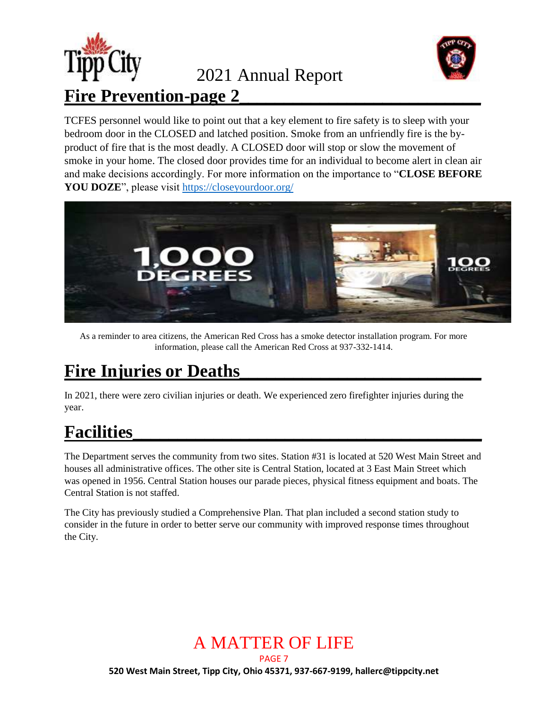



TCFES personnel would like to point out that a key element to fire safety is to sleep with your bedroom door in the CLOSED and latched position. Smoke from an unfriendly fire is the byproduct of fire that is the most deadly. A CLOSED door will stop or slow the movement of smoke in your home. The closed door provides time for an individual to become alert in clean air and make decisions accordingly. For more information on the importance to "**CLOSE BEFORE YOU DOZE**", please visit<https://closeyourdoor.org/>



As a reminder to area citizens, the American Red Cross has a smoke detector installation program. For more information, please call the American Red Cross at 937-332-1414.

#### Fire Injuries or Deaths

In 2021, there were zero civilian injuries or death. We experienced zero firefighter injuries during the year.

### **Facilities\_\_\_\_\_\_\_\_\_\_\_\_\_\_\_\_\_\_\_\_\_\_\_\_\_\_\_\_\_\_\_\_\_\_\_\_\_\_\_**

The Department serves the community from two sites. Station #31 is located at 520 West Main Street and houses all administrative offices. The other site is Central Station, located at 3 East Main Street which was opened in 1956. Central Station houses our parade pieces, physical fitness equipment and boats. The Central Station is not staffed.

The City has previously studied a Comprehensive Plan. That plan included a second station study to consider in the future in order to better serve our community with improved response times throughout the City.

# A MATTER OF LIFE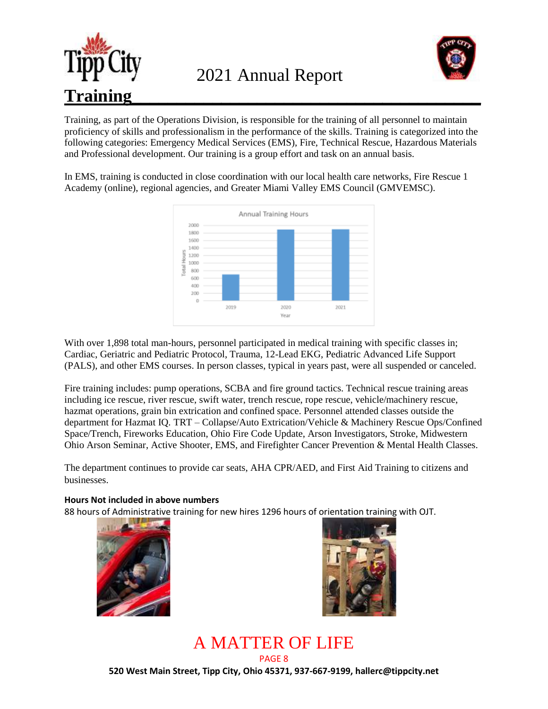



Training, as part of the Operations Division, is responsible for the training of all personnel to maintain proficiency of skills and professionalism in the performance of the skills. Training is categorized into the following categories: Emergency Medical Services (EMS), Fire, Technical Rescue, Hazardous Materials and Professional development. Our training is a group effort and task on an annual basis.

In EMS, training is conducted in close coordination with our local health care networks, Fire Rescue 1 Academy (online), regional agencies, and Greater Miami Valley EMS Council (GMVEMSC).



With over 1,898 total man-hours, personnel participated in medical training with specific classes in; Cardiac, Geriatric and Pediatric Protocol, Trauma, 12-Lead EKG, Pediatric Advanced Life Support (PALS), and other EMS courses. In person classes, typical in years past, were all suspended or canceled.

Fire training includes: pump operations, SCBA and fire ground tactics. Technical rescue training areas including ice rescue, river rescue, swift water, trench rescue, rope rescue, vehicle/machinery rescue, hazmat operations, grain bin extrication and confined space. Personnel attended classes outside the department for Hazmat IQ. TRT – Collapse/Auto Extrication/Vehicle & Machinery Rescue Ops/Confined Space/Trench, Fireworks Education, Ohio Fire Code Update, Arson Investigators, Stroke, Midwestern Ohio Arson Seminar, Active Shooter, EMS, and Firefighter Cancer Prevention & Mental Health Classes.

The department continues to provide car seats, AHA CPR/AED, and First Aid Training to citizens and businesses.

#### **Hours Not included in above numbers**

88 hours of Administrative training for new hires 1296 hours of orientation training with OJT.